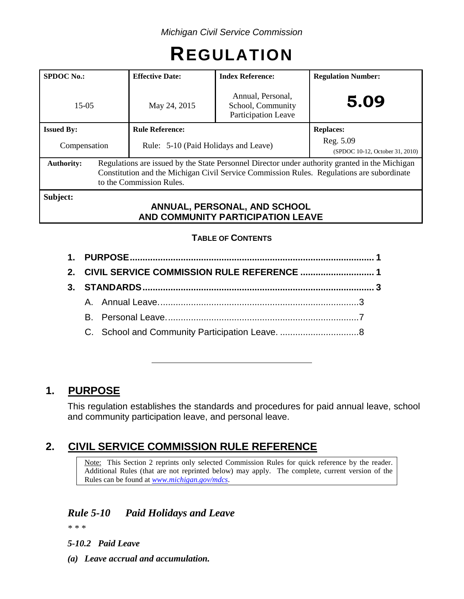# **REGULATION**

| <b>SPDOC No.:</b>                                                             |  | <b>Effective Date:</b>                                                                                                                                                                                                  | <b>Index Reference:</b>                                              | <b>Regulation Number:</b>                    |  |  |  |
|-------------------------------------------------------------------------------|--|-------------------------------------------------------------------------------------------------------------------------------------------------------------------------------------------------------------------------|----------------------------------------------------------------------|----------------------------------------------|--|--|--|
| $15-05$                                                                       |  | May 24, 2015                                                                                                                                                                                                            | Annual, Personal,<br>School, Community<br><b>Participation Leave</b> | 5.09                                         |  |  |  |
| <b>Issued By:</b>                                                             |  | <b>Rule Reference:</b>                                                                                                                                                                                                  |                                                                      | <b>Replaces:</b>                             |  |  |  |
| Compensation                                                                  |  | Rule: 5-10 (Paid Holidays and Leave)                                                                                                                                                                                    |                                                                      | Reg. 5.09<br>(SPDOC 10-12, October 31, 2010) |  |  |  |
| <b>Authority:</b>                                                             |  | Regulations are issued by the State Personnel Director under authority granted in the Michigan<br>Constitution and the Michigan Civil Service Commission Rules. Regulations are subordinate<br>to the Commission Rules. |                                                                      |                                              |  |  |  |
| Subject:<br>ANNUAL, PERSONAL, AND SCHOOL<br>AND COMMUNITY PARTICIPATION LEAVE |  |                                                                                                                                                                                                                         |                                                                      |                                              |  |  |  |

## **TABLE OF CONTENTS**

# **1. PURPOSE**

This regulation establishes the standards and procedures for paid annual leave, school and community participation leave, and personal leave.

# **2. CIVIL SERVICE COMMISSION RULE REFERENCE**

Note: This Section 2 reprints only selected Commission Rules for quick reference by the reader. Additional Rules (that are not reprinted below) may apply. The complete, current version of the Rules can be found at *[www.michigan.gov/mdcs](http://www.michigan.gov/mdcs)*.

## *Rule 5-10 Paid Holidays and Leave*

*\* \* \**

*5-10.2 Paid Leave*

*(a) Leave accrual and accumulation.*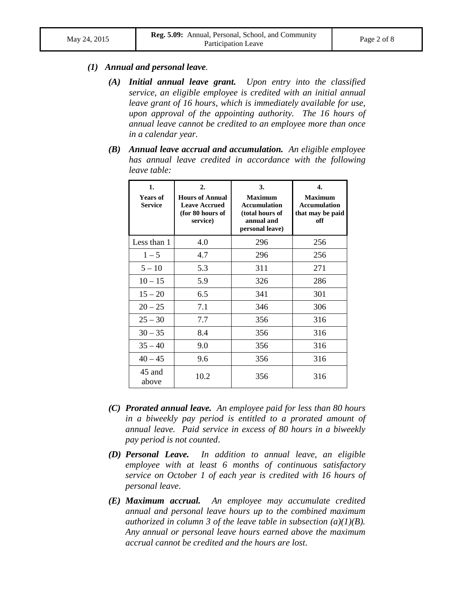#### *(1) Annual and personal leave.*

- *(A) Initial annual leave grant. Upon entry into the classified service, an eligible employee is credited with an initial annual leave grant of 16 hours, which is immediately available for use, upon approval of the appointing authority. The 16 hours of annual leave cannot be credited to an employee more than once in a calendar year.*
- *(B) Annual leave accrual and accumulation. An eligible employee has annual leave credited in accordance with the following leave table:*

| 1.<br><b>Years of</b><br><b>Service</b> | 2.<br><b>Hours of Annual</b><br><b>Leave Accrued</b><br>(for 80 hours of<br>service) | 3.<br><b>Maximum</b><br><b>Accumulation</b><br>(total hours of<br>annual and<br>personal leave) | 4.<br><b>Maximum</b><br><b>Accumulation</b><br>that may be paid<br>off |
|-----------------------------------------|--------------------------------------------------------------------------------------|-------------------------------------------------------------------------------------------------|------------------------------------------------------------------------|
| Less than 1                             | 4.0                                                                                  | 296                                                                                             | 256                                                                    |
| $1 - 5$                                 | 4.7                                                                                  | 296                                                                                             | 256                                                                    |
| $5 - 10$                                | 5.3                                                                                  | 311                                                                                             | 271                                                                    |
| $10 - 15$                               | 5.9                                                                                  | 326                                                                                             | 286                                                                    |
| $15 - 20$                               | 6.5                                                                                  | 341                                                                                             | 301                                                                    |
| $20 - 25$                               | 7.1                                                                                  | 346                                                                                             | 306                                                                    |
| $25 - 30$                               | 7.7                                                                                  | 356                                                                                             | 316                                                                    |
| $30 - 35$                               | 8.4                                                                                  | 356                                                                                             | 316                                                                    |
| $35 - 40$                               | 9.0                                                                                  | 356                                                                                             | 316                                                                    |
| $40 - 45$                               | 9.6                                                                                  | 356                                                                                             | 316                                                                    |
| 45 and<br>above                         | 10.2                                                                                 | 356                                                                                             | 316                                                                    |

- *(C) Prorated annual leave. An employee paid for less than 80 hours in a biweekly pay period is entitled to a prorated amount of annual leave. Paid service in excess of 80 hours in a biweekly pay period is not counted*.
- *(D) Personal Leave. In addition to annual leave, an eligible employee with at least 6 months of continuous satisfactory service on October 1 of each year is credited with 16 hours of personal leave*.
- *(E) Maximum accrual.**An employee may accumulate credited annual and personal leave hours up to the combined maximum authorized in column 3 of the leave table in subsection (a)(1)(B). Any annual or personal leave hours earned above the maximum accrual cannot be credited and the hours are lost*.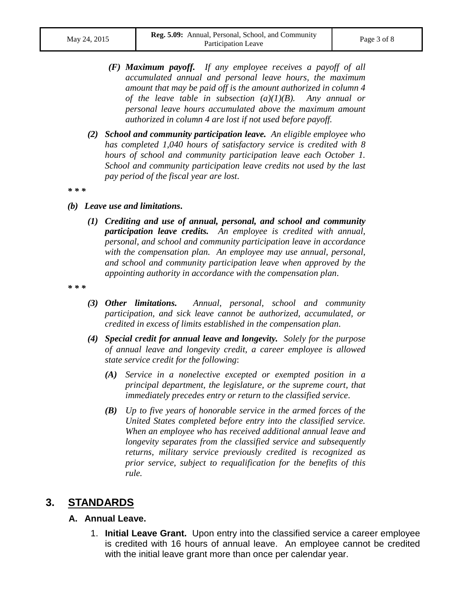- *(F) Maximum payoff. If any employee receives a payoff of all accumulated annual and personal leave hours, the maximum amount that may be paid off is the amount authorized in column 4 of the leave table in subsection (a)(1)(B). Any annual or personal leave hours accumulated above the maximum amount authorized in column 4 are lost if not used before payoff.*
- *(2) School and community participation leave. An eligible employee who has completed 1,040 hours of satisfactory service is credited with 8 hours of school and community participation leave each October 1. School and community participation leave credits not used by the last pay period of the fiscal year are lost*.

*\* \* \**

- *(b) Leave use and limitations***.**
	- *(1) Crediting and use of annual, personal, and school and community participation leave credits.**An employee is credited with annual, personal, and school and community participation leave in accordance with the compensation plan. An employee may use annual, personal, and school and community participation leave when approved by the appointing authority in accordance with the compensation plan*.

*\* \* \**

- *(3) Other limitations.**Annual, personal, school and community participation, and sick leave cannot be authorized, accumulated, or credited in excess of limits established in the compensation plan*.
- *(4) Special credit for annual leave and longevity. Solely for the purpose of annual leave and longevity credit, a career employee is allowed state service credit for the following*:
	- *(A) Service in a nonelective excepted or exempted position in a principal department, the legislature, or the supreme court, that immediately precedes entry or return to the classified service*.
	- *(B) Up to five years of honorable service in the armed forces of the United States completed before entry into the classified service. When an employee who has received additional annual leave and longevity separates from the classified service and subsequently returns, military service previously credited is recognized as prior service, subject to requalification for the benefits of this rule.*

## **3. STANDARDS**

#### **A. Annual Leave.**

1. **Initial Leave Grant.** Upon entry into the classified service a career employee is credited with 16 hours of annual leave. An employee cannot be credited with the initial leave grant more than once per calendar year.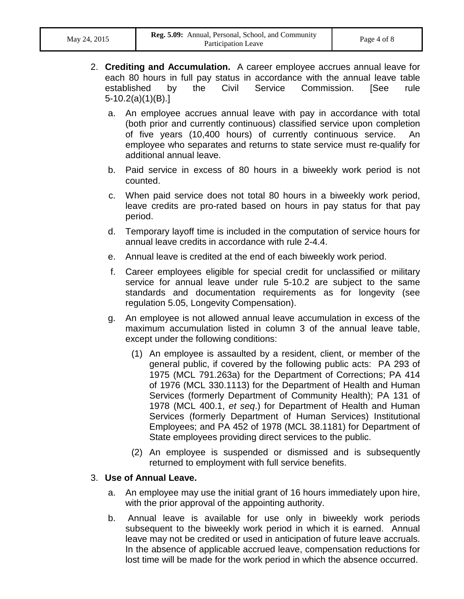- 2. **Crediting and Accumulation.** A career employee accrues annual leave for each 80 hours in full pay status in accordance with the annual leave table established by the Civil Service Commission. [See rule 5-10.2(a)(1)(B).]
	- a. An employee accrues annual leave with pay in accordance with total (both prior and currently continuous) classified service upon completion of five years (10,400 hours) of currently continuous service. An employee who separates and returns to state service must re-qualify for additional annual leave.
	- b. Paid service in excess of 80 hours in a biweekly work period is not counted.
	- c. When paid service does not total 80 hours in a biweekly work period, leave credits are pro-rated based on hours in pay status for that pay period.
	- d. Temporary layoff time is included in the computation of service hours for annual leave credits in accordance with rule 2-4.4.
	- e. Annual leave is credited at the end of each biweekly work period.
	- f. Career employees eligible for special credit for unclassified or military service for annual leave under rule 5-10.2 are subject to the same standards and documentation requirements as for longevity (see regulation 5.05, Longevity Compensation).
	- g. An employee is not allowed annual leave accumulation in excess of the maximum accumulation listed in column 3 of the annual leave table, except under the following conditions:
		- (1) An employee is assaulted by a resident, client, or member of the general public, if covered by the following public acts: PA 293 of 1975 (MCL 791.263a) for the Department of Corrections; PA 414 of 1976 (MCL 330.1113) for the Department of Health and Human Services (formerly Department of Community Health); PA 131 of 1978 (MCL 400.1, *et seq*.) for Department of Health and Human Services (formerly Department of Human Services) Institutional Employees; and PA 452 of 1978 (MCL 38.1181) for Department of State employees providing direct services to the public.
		- (2) An employee is suspended or dismissed and is subsequently returned to employment with full service benefits.

#### 3. **Use of Annual Leave.**

- a. An employee may use the initial grant of 16 hours immediately upon hire, with the prior approval of the appointing authority.
- b. Annual leave is available for use only in biweekly work periods subsequent to the biweekly work period in which it is earned. Annual leave may not be credited or used in anticipation of future leave accruals. In the absence of applicable accrued leave, compensation reductions for lost time will be made for the work period in which the absence occurred.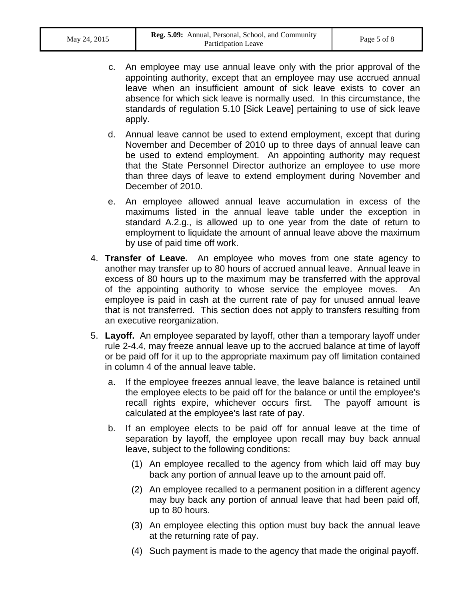- c. An employee may use annual leave only with the prior approval of the appointing authority, except that an employee may use accrued annual leave when an insufficient amount of sick leave exists to cover an absence for which sick leave is normally used. In this circumstance, the standards of regulation 5.10 [Sick Leave] pertaining to use of sick leave apply.
- d. Annual leave cannot be used to extend employment, except that during November and December of 2010 up to three days of annual leave can be used to extend employment. An appointing authority may request that the State Personnel Director authorize an employee to use more than three days of leave to extend employment during November and December of 2010.
- e. An employee allowed annual leave accumulation in excess of the maximums listed in the annual leave table under the exception in standard A.2.g., is allowed up to one year from the date of return to employment to liquidate the amount of annual leave above the maximum by use of paid time off work.
- 4. **Transfer of Leave.** An employee who moves from one state agency to another may transfer up to 80 hours of accrued annual leave. Annual leave in excess of 80 hours up to the maximum may be transferred with the approval of the appointing authority to whose service the employee moves. An employee is paid in cash at the current rate of pay for unused annual leave that is not transferred. This section does not apply to transfers resulting from an executive reorganization.
- 5. **Layoff.** An employee separated by layoff, other than a temporary layoff under rule 2-4.4, may freeze annual leave up to the accrued balance at time of layoff or be paid off for it up to the appropriate maximum pay off limitation contained in column 4 of the annual leave table.
	- a. If the employee freezes annual leave, the leave balance is retained until the employee elects to be paid off for the balance or until the employee's recall rights expire, whichever occurs first. The payoff amount is calculated at the employee's last rate of pay.
	- b. If an employee elects to be paid off for annual leave at the time of separation by layoff, the employee upon recall may buy back annual leave, subject to the following conditions:
		- (1) An employee recalled to the agency from which laid off may buy back any portion of annual leave up to the amount paid off.
		- (2) An employee recalled to a permanent position in a different agency may buy back any portion of annual leave that had been paid off, up to 80 hours.
		- (3) An employee electing this option must buy back the annual leave at the returning rate of pay.
		- (4) Such payment is made to the agency that made the original payoff.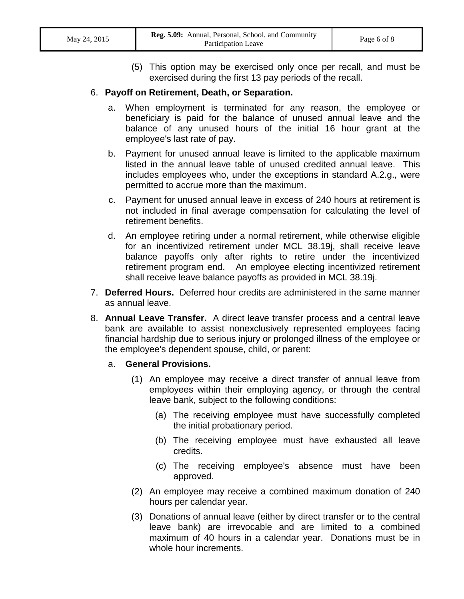(5) This option may be exercised only once per recall, and must be exercised during the first 13 pay periods of the recall.

#### 6. **Payoff on Retirement, Death, or Separation.**

- a. When employment is terminated for any reason, the employee or beneficiary is paid for the balance of unused annual leave and the balance of any unused hours of the initial 16 hour grant at the employee's last rate of pay.
- b. Payment for unused annual leave is limited to the applicable maximum listed in the annual leave table of unused credited annual leave. This includes employees who, under the exceptions in standard A.2.g., were permitted to accrue more than the maximum.
- c. Payment for unused annual leave in excess of 240 hours at retirement is not included in final average compensation for calculating the level of retirement benefits.
- d. An employee retiring under a normal retirement, while otherwise eligible for an incentivized retirement under MCL 38.19j, shall receive leave balance payoffs only after rights to retire under the incentivized retirement program end. An employee electing incentivized retirement shall receive leave balance payoffs as provided in MCL 38.19j.
- 7. **Deferred Hours.** Deferred hour credits are administered in the same manner as annual leave.
- 8. **Annual Leave Transfer.** A direct leave transfer process and a central leave bank are available to assist nonexclusively represented employees facing financial hardship due to serious injury or prolonged illness of the employee or the employee's dependent spouse, child, or parent:
	- a. **General Provisions.**
		- (1) An employee may receive a direct transfer of annual leave from employees within their employing agency, or through the central leave bank, subject to the following conditions:
			- (a) The receiving employee must have successfully completed the initial probationary period.
			- (b) The receiving employee must have exhausted all leave credits.
			- (c) The receiving employee's absence must have been approved.
		- (2) An employee may receive a combined maximum donation of 240 hours per calendar year.
		- (3) Donations of annual leave (either by direct transfer or to the central leave bank) are irrevocable and are limited to a combined maximum of 40 hours in a calendar year. Donations must be in whole hour increments.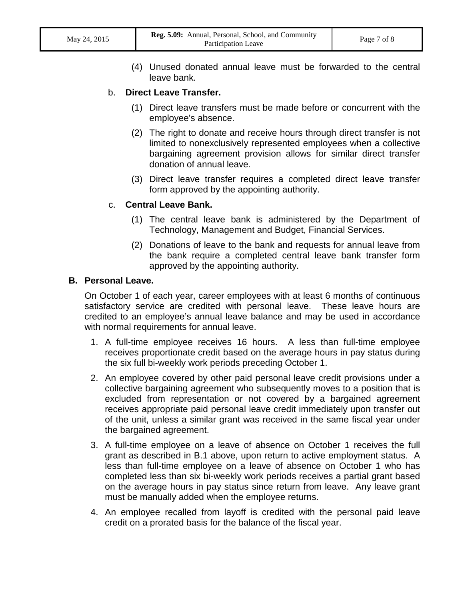(4) Unused donated annual leave must be forwarded to the central leave bank.

#### b. **Direct Leave Transfer.**

- (1) Direct leave transfers must be made before or concurrent with the employee's absence.
- (2) The right to donate and receive hours through direct transfer is not limited to nonexclusively represented employees when a collective bargaining agreement provision allows for similar direct transfer donation of annual leave.
- (3) Direct leave transfer requires a completed direct leave transfer form approved by the appointing authority.

#### c. **Central Leave Bank.**

- (1) The central leave bank is administered by the Department of Technology, Management and Budget, Financial Services.
- (2) Donations of leave to the bank and requests for annual leave from the bank require a completed central leave bank transfer form approved by the appointing authority.

#### **B. Personal Leave.**

On October 1 of each year, career employees with at least 6 months of continuous satisfactory service are credited with personal leave. These leave hours are credited to an employee's annual leave balance and may be used in accordance with normal requirements for annual leave.

- 1. A full-time employee receives 16 hours. A less than full-time employee receives proportionate credit based on the average hours in pay status during the six full bi-weekly work periods preceding October 1.
- 2. An employee covered by other paid personal leave credit provisions under a collective bargaining agreement who subsequently moves to a position that is excluded from representation or not covered by a bargained agreement receives appropriate paid personal leave credit immediately upon transfer out of the unit, unless a similar grant was received in the same fiscal year under the bargained agreement.
- 3. A full-time employee on a leave of absence on October 1 receives the full grant as described in B.1 above, upon return to active employment status. A less than full-time employee on a leave of absence on October 1 who has completed less than six bi-weekly work periods receives a partial grant based on the average hours in pay status since return from leave. Any leave grant must be manually added when the employee returns.
- 4. An employee recalled from layoff is credited with the personal paid leave credit on a prorated basis for the balance of the fiscal year.